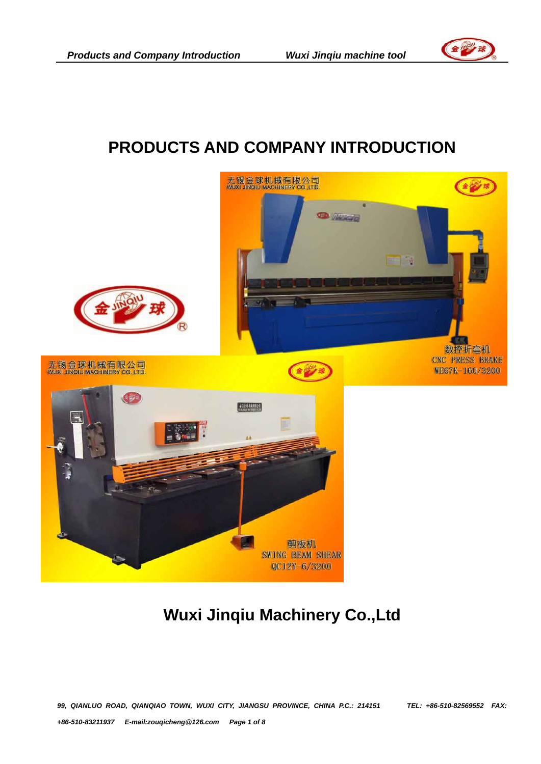## **PRODUCTS AND COMPANY INTRODUCTION**



# **Wuxi Jinqiu Machinery Co.,Ltd**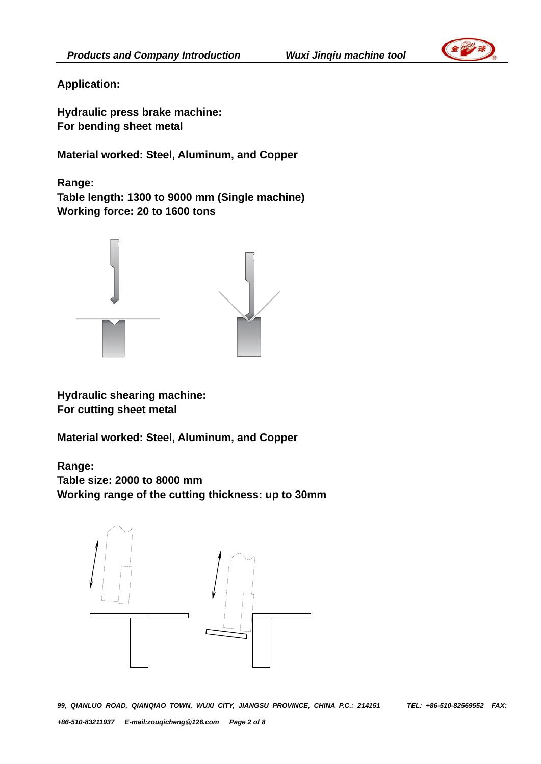

**Application:** 

**Hydraulic press brake machine: For bending sheet metal** 

**Material worked: Steel, Aluminum, and Copper** 

**Range: Table length: 1300 to 9000 mm (Single machine) Working force: 20 to 1600 tons** 



**Hydraulic shearing machine: For cutting sheet metal** 

**Material worked: Steel, Aluminum, and Copper** 

**Range:** 

**Table size: 2000 to 8000 mm Working range of the cutting thickness: up to 30mm** 

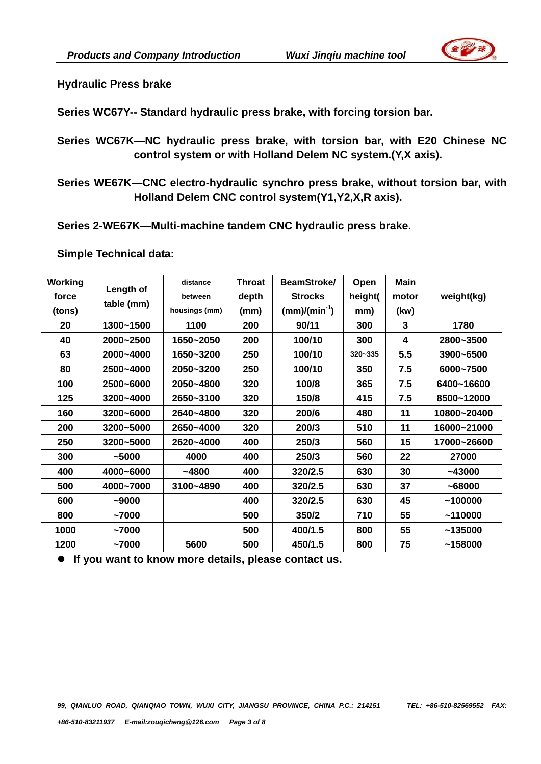

**Hydraulic Press brake** 

**Series WC67Y-- Standard hydraulic press brake, with forcing torsion bar.** 

**Series WC67K—NC hydraulic press brake, with torsion bar, with E20 Chinese NC control system or with Holland Delem NC system.(Y,X axis).** 

**Series WE67K—CNC electro-hydraulic synchro press brake, without torsion bar, with Holland Delem CNC control system(Y1,Y2,X,R axis).** 

**Series 2-WE67K—Multi-machine tandem CNC hydraulic press brake.** 

**Simple Technical data:** 

| Working | Length of<br>table (mm) | distance      | <b>Throat</b> | BeamStroke/       | Open    | <b>Main</b> |             |
|---------|-------------------------|---------------|---------------|-------------------|---------|-------------|-------------|
| force   |                         | between       | depth         | <b>Strocks</b>    | height( | motor       | weight(kg)  |
| (tons)  |                         | housings (mm) | (mm)          | $(mm)/(min^{-1})$ | mm)     | (kw)        |             |
| 20      | 1300~1500               | 1100          | 200           | 90/11             | 300     | 3           | 1780        |
| 40      | 2000~2500               | 1650~2050     | 200           | 100/10            | 300     | 4           | 2800~3500   |
| 63      | 2000~4000               | 1650~3200     | 250           | 100/10            | 320~335 | 5.5         | 3900~6500   |
| 80      | 2500~4000               | 2050~3200     | 250           | 100/10            | 350     | 7.5         | 6000~7500   |
| 100     | 2500~6000               | 2050~4800     | 320           | 100/8             | 365     | 7.5         | 6400~16600  |
| 125     | 3200~4000               | 2650~3100     | 320           | 150/8             | 415     | 7.5         | 8500~12000  |
| 160     | 3200~6000               | 2640~4800     | 320           | 200/6             | 480     | 11          | 10800~20400 |
| 200     | 3200~5000               | 2650~4000     | 320           | 200/3             | 510     | 11          | 16000~21000 |
| 250     | 3200~5000               | 2620~4000     | 400           | 250/3             | 560     | 15          | 17000~26600 |
| 300     | ~1000                   | 4000          | 400           | 250/3             | 560     | 22          | 27000       |
| 400     | 4000~6000               | $-4800$       | 400           | 320/2.5           | 630     | 30          | $-43000$    |
| 500     | 4000~7000               | 3100~4890     | 400           | 320/2.5           | 630     | 37          | ~168000     |
| 600     | ~10000                  |               | 400           | 320/2.5           | 630     | 45          | ~100000     |
| 800     | ~17000                  |               | 500           | 350/2             | 710     | 55          | ~110000     |
| 1000    | ~17000                  |               | 500           | 400/1.5           | 800     | 55          | ~135000     |
| 1200    | ~17000                  | 5600          | 500           | 450/1.5           | 800     | 75          | ~158000     |

**•** If you want to know more details, please contact us.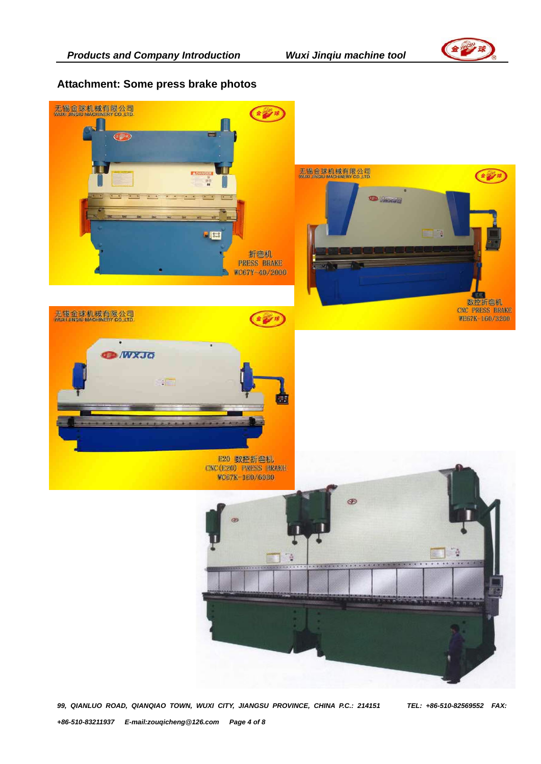

#### **Attachment: Some press brake photos**



*99, QIANLUO ROAD, QIANQIAO TOWN, WUXI CITY, JIANGSU PROVINCE, CHINA P.C.: 214151 TEL: +86-510-82569552 FAX: +86-510-83211937 E-mail:zouqicheng@126.com Page 4 of 8*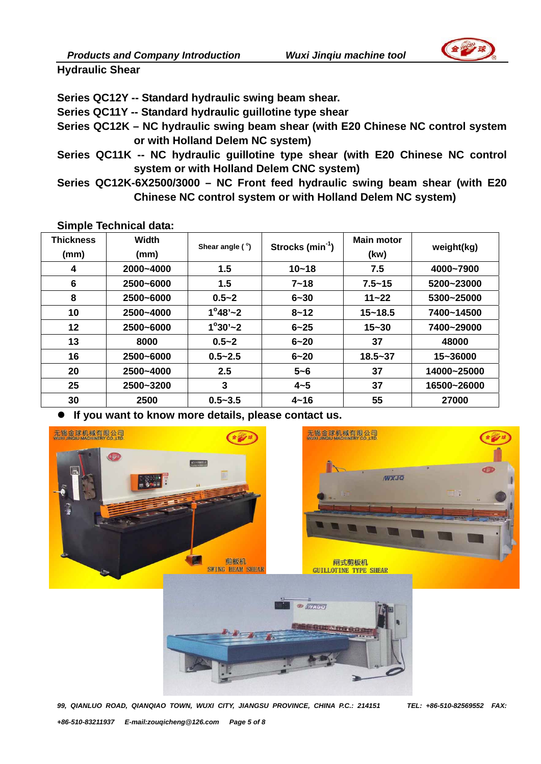

**Hydraulic Shear** 

**Series QC12Y -- Standard hydraulic swing beam shear.** 

**Series QC11Y -- Standard hydraulic guillotine type shear** 

- **Series QC12K NC hydraulic swing beam shear (with E20 Chinese NC control system or with Holland Delem NC system)**
- **Series QC11K -- NC hydraulic guillotine type shear (with E20 Chinese NC control system or with Holland Delem CNC system)**
- **Series QC12K-6X2500/3000 NC Front feed hydraulic swing beam shear (with E20 Chinese NC control system or with Holland Delem NC system)**

**Simple Technical data:** 

| <b>Thickness</b><br>(mm) | <b>Width</b><br>(mm) | Shear angle $(°)$  | Strocks $(min^{-1})$ | <b>Main motor</b><br>(kw) | weight(kg)  |
|--------------------------|----------------------|--------------------|----------------------|---------------------------|-------------|
| 4                        | 2000~4000            | 1.5                | $10 - 18$            | 7.5                       | 4000~7900   |
| 6                        | 2500~6000            | 1.5                | $7 - 18$             | $7.5 - 15$                | 5200~23000  |
| 8                        | 2500~6000            | $0.5 - 2$          | $6 - 30$             | $11 - 22$                 | 5300~25000  |
| 10                       | 2500~4000            | $1^{\circ}48'$ ~ 2 | $8 - 12$             | $15 - 18.5$               | 7400~14500  |
| 12                       | 2500~6000            | $1^{\circ}30'$ ~ 2 | $6 - 25$             | $15 - 30$                 | 7400~29000  |
| 13                       | 8000                 | $0.5 - 2$          | $6 - 20$             | 37                        | 48000       |
| 16                       | 2500~6000            | $0.5 - 2.5$        | $6 - 20$             | $18.5 - 37$               | 15~36000    |
| 20                       | 2500~4000            | 2.5                | $5 - 6$              | 37                        | 14000~25000 |
| 25                       | 2500~3200            | 3                  | $4 - 5$              | 37                        | 16500~26000 |
| 30                       | 2500                 | $0.5 - 3.5$        | $4 - 16$             | 55                        | 27000       |

If you want to know more details, please contact us.



*99, QIANLUO ROAD, QIANQIAO TOWN, WUXI CITY, JIANGSU PROVINCE, CHINA P.C.: 214151 TEL: +86-510-82569552 FAX: +86-510-83211937 E-mail:zouqicheng@126.com Page 5 of 8*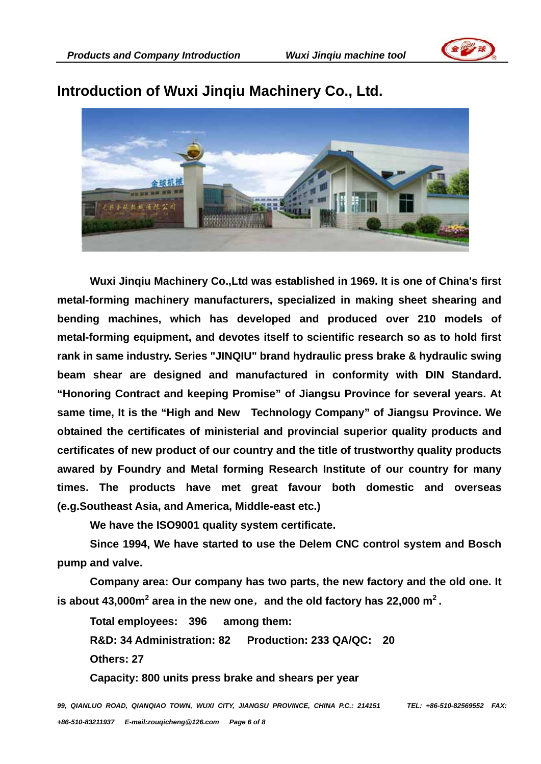



### **Introduction of Wuxi Jinqiu Machinery Co., Ltd.**

**Wuxi Jinqiu Machinery Co.,Ltd was established in 1969. It is one of China's first metal-forming machinery manufacturers, specialized in making sheet shearing and bending machines, which has developed and produced over 210 models of metal-forming equipment, and devotes itself to scientific research so as to hold first rank in same industry. Series "JINQIU" brand hydraulic press brake & hydraulic swing beam shear are designed and manufactured in conformity with DIN Standard. "Honoring Contract and keeping Promise" of Jiangsu Province for several years. At same time, It is the "High and New Technology Company" of Jiangsu Province. We obtained the certificates of ministerial and provincial superior quality products and certificates of new product of our country and the title of trustworthy quality products awared by Foundry and Metal forming Research Institute of our country for many times. The products have met great favour both domestic and overseas (e.g.Southeast Asia, and America, Middle-east etc.)** 

**We have the ISO9001 quality system certificate.** 

**Since 1994, We have started to use the Delem CNC control system and Bosch pump and valve.** 

**Company area: Our company has two parts, the new factory and the old one. It**  is about 43,000m<sup>2</sup> area in the new one, and the old factory has 22,000 m<sup>2</sup>.

**Total employees: 396 among them: R&D: 34 Administration: 82 Production: 233 QA/QC: 20 Others: 27** 

**Capacity: 800 units press brake and shears per year** 

*99, QIANLUO ROAD, QIANQIAO TOWN, WUXI CITY, JIANGSU PROVINCE, CHINA P.C.: 214151 TEL: +86-510-82569552 FAX: +86-510-83211937 E-mail:zouqicheng@126.com Page 6 of 8*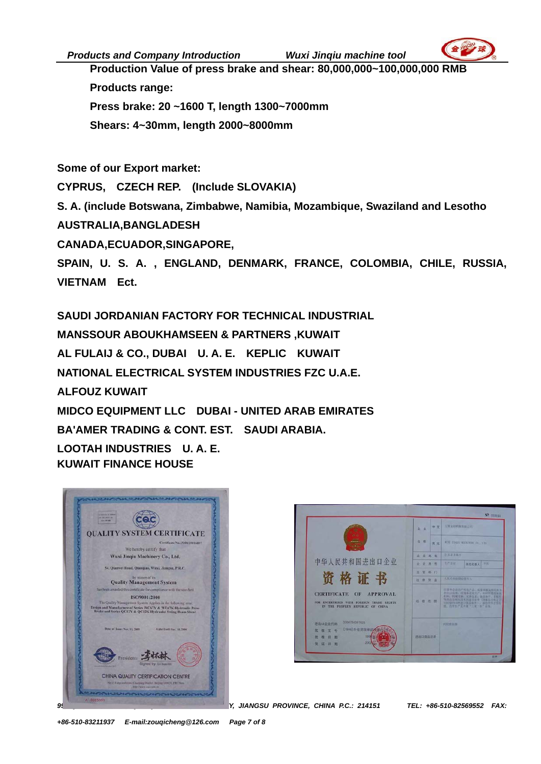*Products and Company Introduction Wuxi Jinqiu machine tool* 



**Production Value of press brake and shear: 80,000,000~100,000,000 RMB Products range: Press brake: 20 ~1600 T, length 1300~7000mm Shears: 4~30mm, length 2000~8000mm** 

**Some of our Export market:** 

**CYPRUS, CZECH REP. (Include SLOVAKIA)** 

**S. A. (include Botswana, Zimbabwe, Namibia, Mozambique, Swaziland and Lesotho** 

**AUSTRALIA,BANGLADESH** 

**CANADA,ECUADOR,SINGAPORE,** 

**SPAIN, U. S. A. , ENGLAND, DENMARK, FRANCE, COLOMBIA, CHILE, RUSSIA, VIETNAM Ect.** 

**SAUDI JORDANIAN FACTORY FOR TECHNICAL INDUSTRIAL MANSSOUR ABOUKHAMSEEN & PARTNERS ,KUWAIT AL FULAIJ & CO., DUBAI U. A. E. KEPLIC KUWAIT NATIONAL ELECTRICAL SYSTEM INDUSTRIES FZC U.A.E. ALFOUZ KUWAIT MIDCO EQUIPMENT LLC DUBAI - UNITED ARAB EMIRATES BA'AMER TRADING & CONT. EST. SAUDI ARABIA. LOOTAH INDUSTRIES U. A. E. KUWAIT FINANCE HOUSE**





*99, QIANLUO ROAD, QIANQIAO TOWN, WUXI CITY, JIANGSU PROVINCE, CHINA P.C.: 214151 TEL: +86-510-82569552 FAX:*